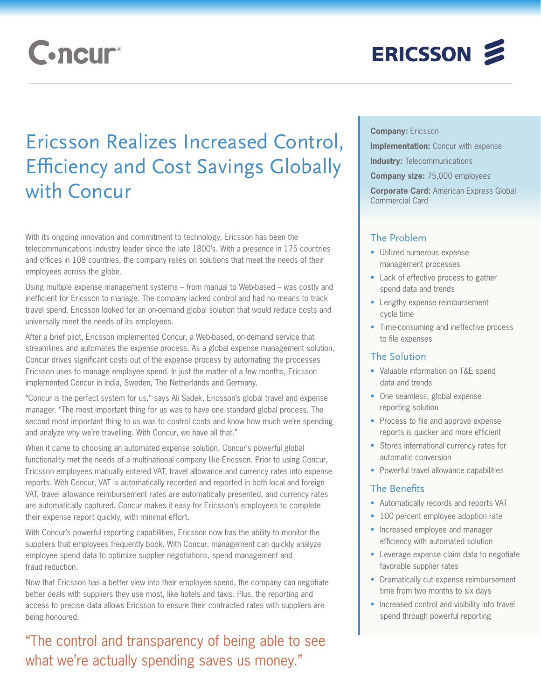# **C**.ncur

# ERICSSON 2

## Ericsson Realizes Increased Control, Efficiency and Cost Savings Globally with Concur

With its ongoing innovation and commitment to technology, Ericsson has been the telecommunications industry leader since the late 1800's. With a presence in 175 countries and offices in 108 countries, the company relies on solutions that meet the needs of their employees across the globe.

Using multiple expense management systems – from manual to Web-based – was costly and inefficient for Ericsson to manage. The company lacked control and had no means to track travel spend. Ericsson looked for an on-demand global solution that would reduce costs and universally meet the needs of its employees.

After a brief pilot, Ericsson implemented Concur, a Web-based, on-demand service that streamlines and automates the expense process. As a global expense management solution, Concur drives significant costs out of the expense process by automating the processes Ericsson uses to manage employee spend. In just the matter of a few months, Ericsson implemented Concur in India, Sweden, The Netherlands and Germany.

"Concur is the perfect system for us," says Ali Sadek, Ericsson's global travel and expense manager. "The most important thing for us was to have one standard global process. The second most important thing to us was to control costs and know how much we're spending and analyze why we're travelling. With Concur, we have all that."

When it came to choosing an automated expense solution, Concur's powerful global functionality met the needs of a multinational company like Ericsson. Prior to using Concur, Ericsson employees manually entered VAT, travel allowance and currency rates into expense reports. With Concur, VAT is automatically recorded and reported in both local and foreign VAT, travel allowance reimbursement rates are automatically presented, and currency rates are automatically captured. Concur makes it easy for Ericsson's employees to complete their expense report quickly, with minimal effort.

With Concur's powerful reporting capabilities, Ericsson now has the ability to monitor the suppliers that employees frequently book. With Concur, management can quickly analyze employee spend data to optimize supplier negotiations, spend management and fraud reduction.

Now that Ericsson has a better view into their employee spend, the company can negotiate better deals with suppliers they use most, like hotels and taxis. Plus, the reporting and access to precise data allows Ericsson to ensure their contracted rates with suppliers are being honoured.

### "The control and transparency of being able to see what we're actually spending saves us money."

**Company:** Ericsson

**Implementation:** Concur with expense

**Industry: Telecommunications** 

**Company size:** 75,000 employees

**Corporate Card:** American Express Global Commercial Card

#### The Problem

- • Utilized numerous expense management processes
- Lack of effective process to gather spend data and trends
- Lengthy expense reimbursement cycle time
- Time-consuming and ineffective process to file expenses

#### The Solution

- Valuable information on T&E spend data and trends
- One seamless, global expense reporting solution
- Process to file and approve expense reports is quicker and more efficient
- Stores international currency rates for automatic conversion
- Powerful travel allowance capabilities

#### The Benefits

- Automatically records and reports VAT
- 100 percent employee adoption rate
- Increased employee and manager efficiency with automated solution
- Leverage expense claim data to negotiate favorable supplier rates
- Dramatically cut expense reimbursement time from two months to six days
- Increased control and visibility into travel spend through powerful reporting